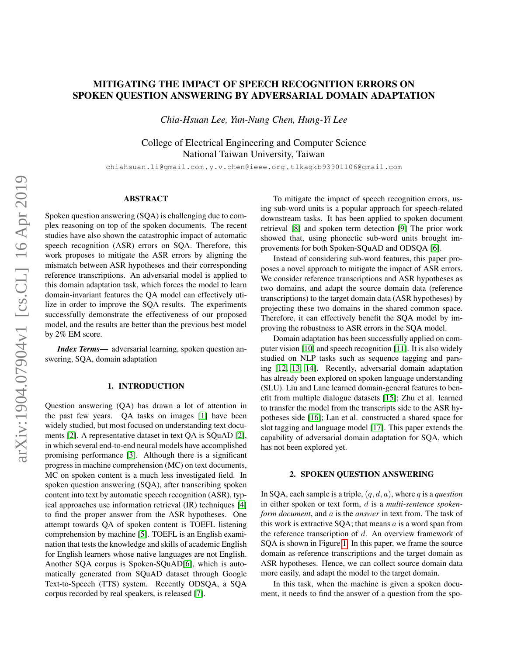# MITIGATING THE IMPACT OF SPEECH RECOGNITION ERRORS ON SPOKEN QUESTION ANSWERING BY ADVERSARIAL DOMAIN ADAPTATION

*Chia-Hsuan Lee, Yun-Nung Chen, Hung-Yi Lee*

College of Electrical Engineering and Computer Science National Taiwan University, Taiwan

chiahsuan.li@gmail.com , y.v.chen@ieee.org , tlkagkb93901106@gmail.com

## ABSTRACT

Spoken question answering (SQA) is challenging due to complex reasoning on top of the spoken documents. The recent studies have also shown the catastrophic impact of automatic speech recognition (ASR) errors on SQA. Therefore, this work proposes to mitigate the ASR errors by aligning the mismatch between ASR hypotheses and their corresponding reference transcriptions. An adversarial model is applied to this domain adaptation task, which forces the model to learn domain-invariant features the QA model can effectively utilize in order to improve the SQA results. The experiments successfully demonstrate the effectiveness of our proposed model, and the results are better than the previous best model by 2% EM score.

*Index Terms*— adversarial learning, spoken question answering, SQA, domain adaptation

# 1. INTRODUCTION

Question answering (QA) has drawn a lot of attention in the past few years. QA tasks on images [\[1\]](#page-4-0) have been widely studied, but most focused on understanding text documents [\[2\]](#page-4-1). A representative dataset in text QA is SQuAD [\[2\]](#page-4-1), in which several end-to-end neural models have accomplished promising performance [\[3\]](#page-4-2). Although there is a significant progress in machine comprehension (MC) on text documents, MC on spoken content is a much less investigated field. In spoken question answering (SQA), after transcribing spoken content into text by automatic speech recognition (ASR), typical approaches use information retrieval (IR) techniques [\[4\]](#page-4-3) to find the proper answer from the ASR hypotheses. One attempt towards QA of spoken content is TOEFL listening comprehension by machine [\[5\]](#page-4-4). TOEFL is an English examination that tests the knowledge and skills of academic English for English learners whose native languages are not English. Another SQA corpus is Spoken-SQuAD[\[6\]](#page-4-5), which is automatically generated from SQuAD dataset through Google Text-to-Speech (TTS) system. Recently ODSQA, a SQA corpus recorded by real speakers, is released [\[7\]](#page-4-6).

To mitigate the impact of speech recognition errors, using sub-word units is a popular approach for speech-related downstream tasks. It has been applied to spoken document retrieval [\[8\]](#page-4-7) and spoken term detection [\[9\]](#page-4-8) The prior work showed that, using phonectic sub-word units brought improvements for both Spoken-SQuAD and ODSQA [\[6\]](#page-4-5).

Instead of considering sub-word features, this paper proposes a novel approach to mitigate the impact of ASR errors. We consider reference transcriptions and ASR hypotheses as two domains, and adapt the source domain data (reference transcriptions) to the target domain data (ASR hypotheses) by projecting these two domains in the shared common space. Therefore, it can effectively benefit the SQA model by improving the robustness to ASR errors in the SQA model.

Domain adaptation has been successfully applied on computer vision [\[10\]](#page-4-9) and speech recognition [\[11\]](#page-4-10). It is also widely studied on NLP tasks such as sequence tagging and parsing [\[12,](#page-4-11) [13,](#page-4-12) [14\]](#page-4-13). Recently, adversarial domain adaptation has already been explored on spoken language understanding (SLU). Liu and Lane learned domain-general features to benefit from multiple dialogue datasets [\[15\]](#page-4-14); Zhu et al. learned to transfer the model from the transcripts side to the ASR hypotheses side [\[16\]](#page-4-15); Lan et al. constructed a shared space for slot tagging and language model [\[17\]](#page-4-16). This paper extends the capability of adversarial domain adaptation for SQA, which has not been explored yet.

#### 2. SPOKEN QUESTION ANSWERING

In SQA, each sample is a triple, (q, d, a), where q is a *question* in either spoken or text form, d is a *multi-sentence spokenform document*, and a is the *answer* in text from. The task of this work is extractive  $SQA$ ; that means  $a$  is a word span from the reference transcription of d. An overview framework of SQA is shown in Figure [1.](#page-1-0) In this paper, we frame the source domain as reference transcriptions and the target domain as ASR hypotheses. Hence, we can collect source domain data more easily, and adapt the model to the target domain.

In this task, when the machine is given a spoken document, it needs to find the answer of a question from the spo-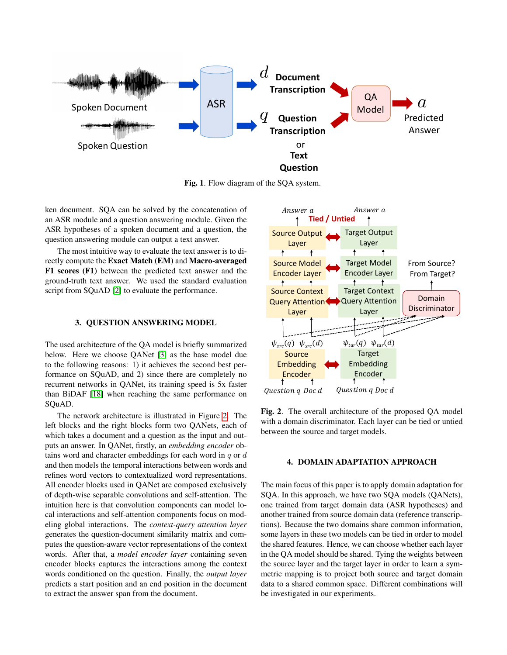

<span id="page-1-0"></span>Fig. 1. Flow diagram of the SQA system.

ken document. SQA can be solved by the concatenation of an ASR module and a question answering module. Given the ASR hypotheses of a spoken document and a question, the question answering module can output a text answer.

The most intuitive way to evaluate the text answer is to directly compute the Exact Match (EM) and Macro-averaged F1 scores (F1) between the predicted text answer and the ground-truth text answer. We used the standard evaluation script from SQuAD [\[2\]](#page-4-1) to evaluate the performance.

## 3. QUESTION ANSWERING MODEL

The used architecture of the QA model is briefly summarized below. Here we choose QANet [\[3\]](#page-4-2) as the base model due to the following reasons: 1) it achieves the second best performance on SQuAD, and 2) since there are completely no recurrent networks in QANet, its training speed is 5x faster than BiDAF [\[18\]](#page-4-17) when reaching the same performance on SQuAD.

The network architecture is illustrated in Figure [2.](#page-1-1) The left blocks and the right blocks form two QANets, each of which takes a document and a question as the input and outputs an answer. In QANet, firstly, an *embedding encoder* obtains word and character embeddings for each word in  $q$  or  $d$ and then models the temporal interactions between words and refines word vectors to contextualized word representations. All encoder blocks used in QANet are composed exclusively of depth-wise separable convolutions and self-attention. The intuition here is that convolution components can model local interactions and self-attention components focus on modeling global interactions. The *context-query attention layer* generates the question-document similarity matrix and computes the question-aware vector representations of the context words. After that, a *model encoder layer* containing seven encoder blocks captures the interactions among the context words conditioned on the question. Finally, the *output layer* predicts a start position and an end position in the document to extract the answer span from the document.



<span id="page-1-1"></span>Fig. 2. The overall architecture of the proposed QA model with a domain discriminator. Each layer can be tied or untied between the source and target models.

## 4. DOMAIN ADAPTATION APPROACH

The main focus of this paper is to apply domain adaptation for SQA. In this approach, we have two SQA models (QANets), one trained from target domain data (ASR hypotheses) and another trained from source domain data (reference transcriptions). Because the two domains share common information, some layers in these two models can be tied in order to model the shared features. Hence, we can choose whether each layer in the QA model should be shared. Tying the weights between the source layer and the target layer in order to learn a symmetric mapping is to project both source and target domain data to a shared common space. Different combinations will be investigated in our experiments.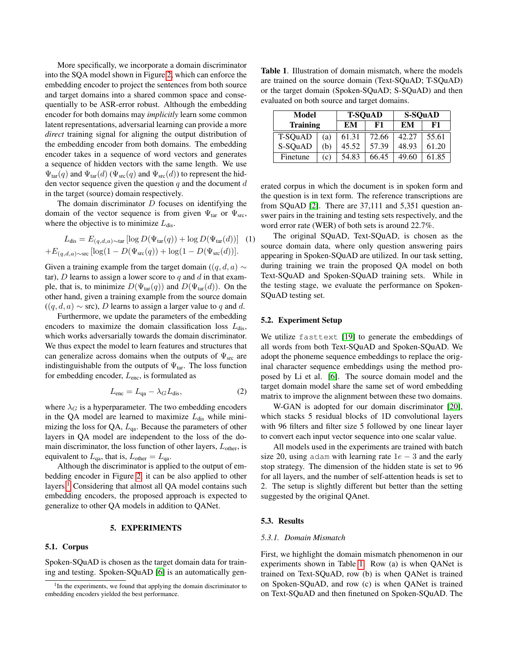More specifically, we incorporate a domain discriminator into the SQA model shown in Figure [2,](#page-1-1) which can enforce the embedding encoder to project the sentences from both source and target domains into a shared common space and consequentially to be ASR-error robust. Although the embedding encoder for both domains may *implicitly* learn some common latent representations, adversarial learning can provide a more *direct* training signal for aligning the output distribution of the embedding encoder from both domains. The embedding encoder takes in a sequence of word vectors and generates a sequence of hidden vectors with the same length. We use  $\Psi_{\text{tar}}(q)$  and  $\Psi_{\text{tar}}(d)$  ( $\Psi_{\text{src}}(q)$  and  $\Psi_{\text{src}}(d)$ ) to represent the hidden vector sequence given the question  $q$  and the document  $d$ in the target (source) domain respectively.

The domain discriminator  $D$  focuses on identifying the domain of the vector sequence is from given  $\Psi_{\text{tar}}$  or  $\Psi_{\text{src}}$ , where the objective is to minimize  $L_{dis}$ .

$$
L_{\text{dis}} = E_{(q,d,a) \sim \text{tar}} \left[ \log D(\Psi_{\text{tar}}(q)) + \log D(\Psi_{\text{tar}}(d)) \right] \tag{1}
$$

$$
+ E_{(q,d,a) \sim \text{src}} \left[ \log(1 - D(\Psi_{\text{src}}(q)) + \log(1 - D(\Psi_{\text{src}}(d)) \right].
$$

Given a training example from the target domain ( $(q, d, a)$  ∼ tar),  $D$  learns to assign a lower score to  $q$  and  $d$  in that example, that is, to minimize  $D(\Psi_{\text{tar}}(q))$  and  $D(\Psi_{\text{tar}}(d))$ . On the other hand, given a training example from the source domain  $((q, d, a) \sim \text{src})$ , D learns to assign a larger value to q and d.

Furthermore, we update the parameters of the embedding encoders to maximize the domain classification loss  $L_{dis}$ , which works adversarially towards the domain discriminator. We thus expect the model to learn features and structures that can generalize across domains when the outputs of  $\Psi_{\text{src}}$  are indistinguishable from the outputs of  $\Psi_{\text{tar}}$ . The loss function for embedding encoder,  $L_{\text{enc}}$ , is formulated as

$$
L_{\text{enc}} = L_{\text{qa}} - \lambda_G L_{\text{dis}},\tag{2}
$$

where  $\lambda_G$  is a hyperparameter. The two embedding encoders in the QA model are learned to maximize  $L_{dis}$  while minimizing the loss for QA,  $L_{qa}$ . Because the parameters of other layers in QA model are independent to the loss of the domain discriminator, the loss function of other layers,  $L_{other}$ , is equivalent to  $L_{qa}$ , that is,  $L_{other} = L_{qa}$ .

Although the discriminator is applied to the output of embedding encoder in Figure [2,](#page-1-1) it can be also applied to other layers.<sup>[1](#page-2-0)</sup> Considering that almost all QA model contains such embedding encoders, the proposed approach is expected to generalize to other QA models in addition to QANet.

## 5. EXPERIMENTS

#### 5.1. Corpus

Spoken-SQuAD is chosen as the target domain data for training and testing. Spoken-SQuAD [\[6\]](#page-4-5) is an automatically gen-

<span id="page-2-1"></span>Table 1. Illustration of domain mismatch, where the models are trained on the source domain (Text-SQuAD; T-SQuAD) or the target domain (Spoken-SQuAD; S-SQuAD) and then evaluated on both source and target domains.

| Model           |     |       | <b>T-SQuAD</b> | S-SQuAD |       |
|-----------------|-----|-------|----------------|---------|-------|
| <b>Training</b> |     | EM    | F1             | EM      | F1    |
| T-SQuAD         | (a) | 61.31 | 72.66          | 42.27   | 55.61 |
| S-SQuAD         | (b) | 45.52 | 57.39          | 48.93   | 61.20 |
| Finetune        | (c) | 54.83 | 66.45          | 49.60   | 61.85 |

erated corpus in which the document is in spoken form and the question is in text form. The reference transcriptions are from SQuAD [\[2\]](#page-4-1). There are 37,111 and 5,351 question answer pairs in the training and testing sets respectively, and the word error rate (WER) of both sets is around 22.7%.

The original SQuAD, Text-SQuAD, is chosen as the source domain data, where only question answering pairs appearing in Spoken-SQuAD are utilized. In our task setting, during training we train the proposed QA model on both Text-SQuAD and Spoken-SQuAD training sets. While in the testing stage, we evaluate the performance on Spoken-SQuAD testing set.

#### 5.2. Experiment Setup

We utilize fasttext [\[19\]](#page-4-18) to generate the embeddings of all words from both Text-SQuAD and Spoken-SQuAD. We adopt the phoneme sequence embeddings to replace the original character sequence embeddings using the method proposed by Li et al. [\[6\]](#page-4-5). The source domain model and the target domain model share the same set of word embedding matrix to improve the alignment between these two domains.

W-GAN is adopted for our domain discriminator [\[20\]](#page-4-19), which stacks 5 residual blocks of 1D convolutional layers with 96 filters and filter size 5 followed by one linear layer to convert each input vector sequence into one scalar value.

All models used in the experiments are trained with batch size 20, using adam with learning rate  $1e - 3$  and the early stop strategy. The dimension of the hidden state is set to 96 for all layers, and the number of self-attention heads is set to 2. The setup is slightly different but better than the setting suggested by the original QAnet.

#### 5.3. Results

#### *5.3.1. Domain Mismatch*

First, we highlight the domain mismatch phenomenon in our experiments shown in Table [1.](#page-2-1) Row (a) is when QANet is trained on Text-SQuAD, row (b) is when QANet is trained on Spoken-SQuAD, and row (c) is when QANet is trained on Text-SQuAD and then finetuned on Spoken-SQuAD. The

<span id="page-2-0"></span><sup>&</sup>lt;sup>1</sup>In the experiments, we found that applying the domain discriminator to embedding encoders yielded the best performance.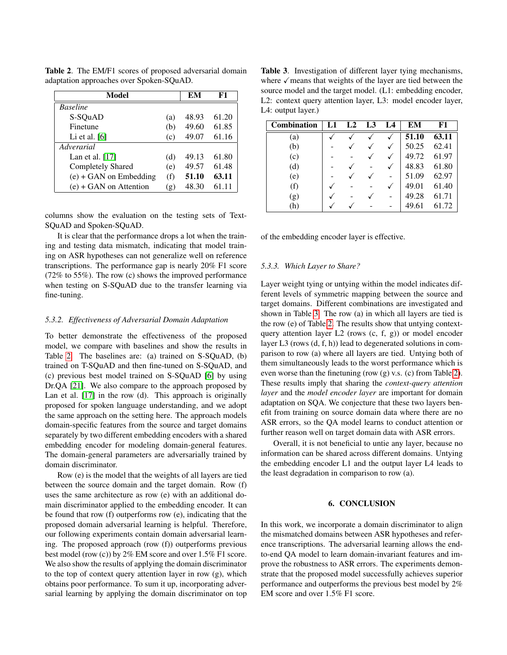| Model                    | EМ                         | F1    |       |
|--------------------------|----------------------------|-------|-------|
| <b>Baseline</b>          |                            |       |       |
| S-SOuAD                  | (a)                        | 48.93 | 61.20 |
| Finetune                 | (b)                        | 49.60 | 61.85 |
| Li et al. $[6]$          | (c)                        | 49.07 | 61.16 |
| Adverarial               |                            |       |       |
| Lan et al. $[17]$        | (d)                        | 49.13 | 61.80 |
| <b>Completely Shared</b> | (e)                        | 49.57 | 61.48 |
| $(e) + GAN$ on Embedding | (f)                        | 51.10 | 63.11 |
| $(e) + GAN$ on Attention | $\left( \mathbf{g}\right)$ | 48.30 | 61.11 |

<span id="page-3-0"></span>Table 2. The EM/F1 scores of proposed adversarial domain adaptation approaches over Spoken-SQuAD.

columns show the evaluation on the testing sets of Text-SQuAD and Spoken-SQuAD.

It is clear that the performance drops a lot when the training and testing data mismatch, indicating that model training on ASR hypotheses can not generalize well on reference transcriptions. The performance gap is nearly 20% F1 score (72% to 55%). The row (c) shows the improved performance when testing on S-SQuAD due to the transfer learning via fine-tuning.

#### *5.3.2. Effectiveness of Adversarial Domain Adaptation*

To better demonstrate the effectiveness of the proposed model, we compare with baselines and show the results in Table [2.](#page-3-0) The baselines are: (a) trained on S-SQuAD, (b) trained on T-SQuAD and then fine-tuned on S-SQuAD, and (c) previous best model trained on S-SQuAD [\[6\]](#page-4-5) by using Dr.QA [\[21\]](#page-5-0). We also compare to the approach proposed by Lan et al. [\[17\]](#page-4-16) in the row (d). This approach is originally proposed for spoken language understanding, and we adopt the same approach on the setting here. The approach models domain-specific features from the source and target domains separately by two different embedding encoders with a shared embedding encoder for modeling domain-general features. The domain-general parameters are adversarially trained by domain discriminator.

Row (e) is the model that the weights of all layers are tied between the source domain and the target domain. Row (f) uses the same architecture as row (e) with an additional domain discriminator applied to the embedding encoder. It can be found that row (f) outperforms row (e), indicating that the proposed domain adversarial learning is helpful. Therefore, our following experiments contain domain adversarial learning. The proposed approach (row (f)) outperforms previous best model (row (c)) by 2% EM score and over 1.5% F1 score. We also show the results of applying the domain discriminator to the top of context query attention layer in row (g), which obtains poor performance. To sum it up, incorporating adversarial learning by applying the domain discriminator on top

<span id="page-3-1"></span>Table 3. Investigation of different layer tying mechanisms, where  $\checkmark$  means that weights of the layer are tied between the source model and the target model. (L1: embedding encoder, L2: context query attention layer, L3: model encoder layer, L4: output layer.)

| <b>Combination</b> | L1 | L2 | L3 | L4 | EМ    | F1    |
|--------------------|----|----|----|----|-------|-------|
| (a)                |    |    |    |    | 51.10 | 63.11 |
| (b)                |    |    |    |    | 50.25 | 62.41 |
| (c)                |    |    |    |    | 49.72 | 61.97 |
| (d)                |    |    |    |    | 48.83 | 61.80 |
| (e)                |    |    |    |    | 51.09 | 62.97 |
| (f)                |    |    |    |    | 49.01 | 61.40 |
| (g)                |    |    |    |    | 49.28 | 61.71 |
| (h)                |    |    |    |    | 49.61 | 61.72 |

of the embedding encoder layer is effective.

#### *5.3.3. Which Layer to Share?*

Layer weight tying or untying within the model indicates different levels of symmetric mapping between the source and target domains. Different combinations are investigated and shown in Table [3.](#page-3-1) The row (a) in which all layers are tied is the row (e) of Table [2.](#page-3-0) The results show that untying contextquery attention layer L2 (rows (c, f, g)) or model encoder layer L3 (rows (d, f, h)) lead to degenerated solutions in comparison to row (a) where all layers are tied. Untying both of them simultaneously leads to the worst performance which is even worse than the finetuning (row (g) v.s. (c) from Table [2\)](#page-3-0). These results imply that sharing the *context-query attention layer* and the *model encoder layer* are important for domain adaptation on SQA. We conjecture that these two layers benefit from training on source domain data where there are no ASR errors, so the QA model learns to conduct attention or further reason well on target domain data with ASR errors.

Overall, it is not beneficial to untie any layer, because no information can be shared across different domains. Untying the embedding encoder L1 and the output layer L4 leads to the least degradation in comparison to row (a).

## 6. CONCLUSION

In this work, we incorporate a domain discriminator to align the mismatched domains between ASR hypotheses and reference transcriptions. The adversarial learning allows the endto-end QA model to learn domain-invariant features and improve the robustness to ASR errors. The experiments demonstrate that the proposed model successfully achieves superior performance and outperforms the previous best model by 2% EM score and over 1.5% F1 score.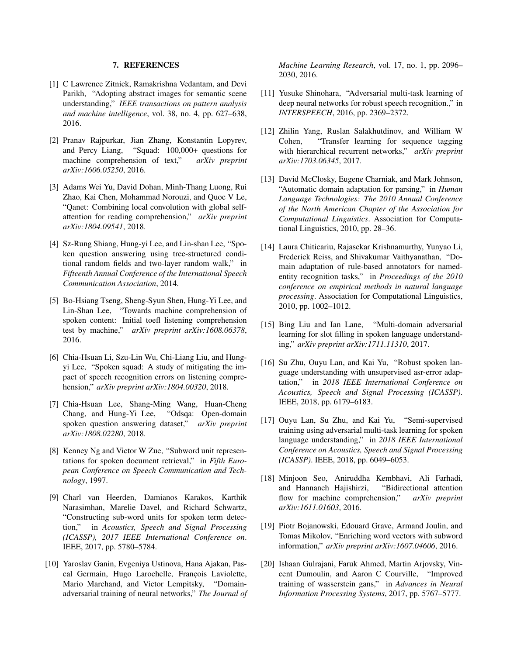# 7. REFERENCES

- <span id="page-4-0"></span>[1] C Lawrence Zitnick, Ramakrishna Vedantam, and Devi Parikh, "Adopting abstract images for semantic scene understanding," *IEEE transactions on pattern analysis and machine intelligence*, vol. 38, no. 4, pp. 627–638, 2016.
- <span id="page-4-1"></span>[2] Pranav Rajpurkar, Jian Zhang, Konstantin Lopyrev, and Percy Liang, "Squad: 100,000+ questions for machine comprehension of text," *arXiv preprint arXiv:1606.05250*, 2016.
- <span id="page-4-2"></span>[3] Adams Wei Yu, David Dohan, Minh-Thang Luong, Rui Zhao, Kai Chen, Mohammad Norouzi, and Quoc V Le, "Qanet: Combining local convolution with global selfattention for reading comprehension," *arXiv preprint arXiv:1804.09541*, 2018.
- <span id="page-4-3"></span>[4] Sz-Rung Shiang, Hung-yi Lee, and Lin-shan Lee, "Spoken question answering using tree-structured conditional random fields and two-layer random walk," in *Fifteenth Annual Conference of the International Speech Communication Association*, 2014.
- <span id="page-4-4"></span>[5] Bo-Hsiang Tseng, Sheng-Syun Shen, Hung-Yi Lee, and Lin-Shan Lee, "Towards machine comprehension of spoken content: Initial toefl listening comprehension test by machine," *arXiv preprint arXiv:1608.06378*, 2016.
- <span id="page-4-5"></span>[6] Chia-Hsuan Li, Szu-Lin Wu, Chi-Liang Liu, and Hungyi Lee, "Spoken squad: A study of mitigating the impact of speech recognition errors on listening comprehension," *arXiv preprint arXiv:1804.00320*, 2018.
- <span id="page-4-6"></span>[7] Chia-Hsuan Lee, Shang-Ming Wang, Huan-Cheng Chang, and Hung-Yi Lee, "Odsqa: Open-domain spoken question answering dataset," *arXiv preprint arXiv:1808.02280*, 2018.
- <span id="page-4-7"></span>[8] Kenney Ng and Victor W Zue, "Subword unit representations for spoken document retrieval," in *Fifth European Conference on Speech Communication and Technology*, 1997.
- <span id="page-4-8"></span>[9] Charl van Heerden, Damianos Karakos, Karthik Narasimhan, Marelie Davel, and Richard Schwartz, "Constructing sub-word units for spoken term detection," in *Acoustics, Speech and Signal Processing (ICASSP), 2017 IEEE International Conference on*. IEEE, 2017, pp. 5780–5784.
- <span id="page-4-9"></span>[10] Yaroslav Ganin, Evgeniya Ustinova, Hana Ajakan, Pascal Germain, Hugo Larochelle, François Laviolette, Mario Marchand, and Victor Lempitsky, "Domainadversarial training of neural networks," *The Journal of*

*Machine Learning Research*, vol. 17, no. 1, pp. 2096– 2030, 2016.

- <span id="page-4-10"></span>[11] Yusuke Shinohara, "Adversarial multi-task learning of deep neural networks for robust speech recognition.," in *INTERSPEECH*, 2016, pp. 2369–2372.
- <span id="page-4-11"></span>[12] Zhilin Yang, Ruslan Salakhutdinov, and William W Cohen, "Transfer learning for sequence tagging with hierarchical recurrent networks," *arXiv preprint arXiv:1703.06345*, 2017.
- <span id="page-4-12"></span>[13] David McClosky, Eugene Charniak, and Mark Johnson, "Automatic domain adaptation for parsing," in *Human Language Technologies: The 2010 Annual Conference of the North American Chapter of the Association for Computational Linguistics*. Association for Computational Linguistics, 2010, pp. 28–36.
- <span id="page-4-13"></span>[14] Laura Chiticariu, Rajasekar Krishnamurthy, Yunyao Li, Frederick Reiss, and Shivakumar Vaithyanathan, "Domain adaptation of rule-based annotators for namedentity recognition tasks," in *Proceedings of the 2010 conference on empirical methods in natural language processing*. Association for Computational Linguistics, 2010, pp. 1002–1012.
- <span id="page-4-14"></span>[15] Bing Liu and Ian Lane, "Multi-domain adversarial learning for slot filling in spoken language understanding," *arXiv preprint arXiv:1711.11310*, 2017.
- <span id="page-4-15"></span>[16] Su Zhu, Ouyu Lan, and Kai Yu, "Robust spoken language understanding with unsupervised asr-error adaptation," in *2018 IEEE International Conference on Acoustics, Speech and Signal Processing (ICASSP)*. IEEE, 2018, pp. 6179–6183.
- <span id="page-4-16"></span>[17] Ouyu Lan, Su Zhu, and Kai Yu, "Semi-supervised training using adversarial multi-task learning for spoken language understanding," in *2018 IEEE International Conference on Acoustics, Speech and Signal Processing (ICASSP)*. IEEE, 2018, pp. 6049–6053.
- <span id="page-4-17"></span>[18] Minjoon Seo, Aniruddha Kembhavi, Ali Farhadi, and Hannaneh Hajishirzi, "Bidirectional attention flow for machine comprehension," *arXiv preprint arXiv:1611.01603*, 2016.
- <span id="page-4-18"></span>[19] Piotr Bojanowski, Edouard Grave, Armand Joulin, and Tomas Mikolov, "Enriching word vectors with subword information," *arXiv preprint arXiv:1607.04606*, 2016.
- <span id="page-4-19"></span>[20] Ishaan Gulrajani, Faruk Ahmed, Martin Arjovsky, Vincent Dumoulin, and Aaron C Courville, "Improved training of wasserstein gans," in *Advances in Neural Information Processing Systems*, 2017, pp. 5767–5777.